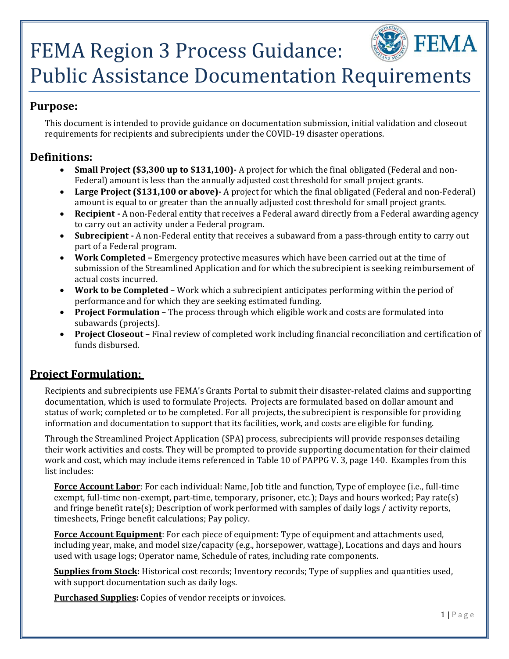# FEMA Region 3 Process Guidance:



## Public Assistance Documentation Requirements

#### **Purpose:**

This document is intended to provide guidance on documentation submission, initial validation and closeout requirements for recipients and subrecipients under the COVID-19 disaster operations.

#### **Definitions:**

- **Small Project (\$3,300 up to \$131,100)‐** A project for which the final obligated (Federal and non-Federal) amount is less than the annually adjusted cost threshold for small project grants.
- **Large Project (\$131,100 or above)‐** A project for which the final obligated (Federal and non-Federal) amount is equal to or greater than the annually adjusted cost threshold for small project grants.
- **Recipient ‐** A non-Federal entity that receives a Federal award directly from a Federal awarding agency to carry out an activity under a Federal program.
- **Subrecipient ‐** A non-Federal entity that receives a subaward from a pass-through entity to carry out part of a Federal program.
- **Work Completed** Emergency protective measures which have been carried out at the time of submission of the Streamlined Application and for which the subrecipient is seeking reimbursement of actual costs incurred.
- **Work to be Completed** Work which a subrecipient anticipates performing within the period of performance and for which they are seeking estimated funding.
- **Project Formulation** The process through which eligible work and costs are formulated into subawards (projects).
- **Project Closeout** Final review of completed work including financial reconciliation and certification of funds disbursed.

#### **Project Formulation:**

Recipients and subrecipients use FEMA's Grants Portal to submit their disaster-related claims and supporting documentation, which is used to formulate Projects. Projects are formulated based on dollar amount and status of work; completed or to be completed. For all projects, the subrecipient is responsible for providing information and documentation to support that its facilities, work, and costs are eligible for funding.

Through the Streamlined Project Application (SPA) process, subrecipients will provide responses detailing their work activities and costs. They will be prompted to provide supporting documentation for their claimed work and cost, which may include items referenced in Table 10 of PAPPG V. 3, page 140. Examples from this list includes:

 **Force Account Labor**: For each individual: Name, Job title and function, Type of employee (i.e., full-time timesheets, Fringe benefit calculations; Pay policy. exempt, full-time non-exempt, part-time, temporary, prisoner, etc.); Days and hours worked; Pay rate(s) and fringe benefit rate(s); Description of work performed with samples of daily logs / activity reports,

**Force Account Equipment**: For each piece of equipment: Type of equipment and attachments used, including year, make, and model size/capacity (e.g., horsepower, wattage), Locations and days and hours used with usage logs; Operator name, Schedule of rates, including rate components.

**Supplies from Stock:** Historical cost records; Inventory records; Type of supplies and quantities used, with support documentation such as daily logs.

 **Purchased Supplies:** Copies of vendor receipts or invoices.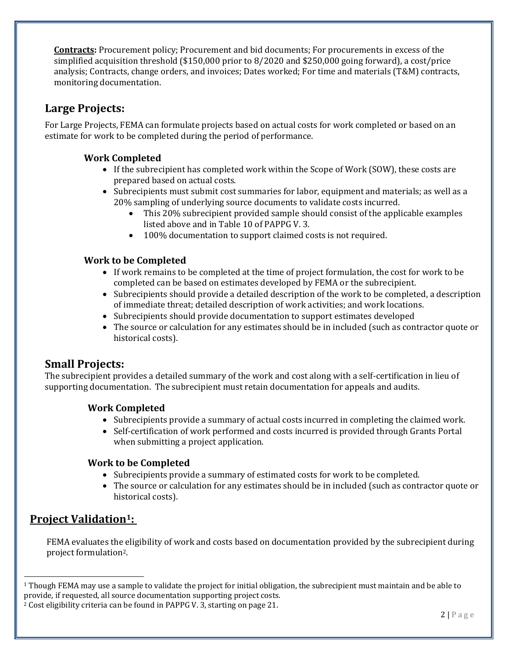**Contracts:** Procurement policy; Procurement and bid documents; For procurements in excess of the simplified acquisition threshold (\$150,000 prior to 8/2020 and \$250,000 going forward), a cost/price analysis; Contracts, change orders, and invoices; Dates worked; For time and materials (T&M) contracts, monitoring documentation.

#### **Large Projects:**

For Large Projects, FEMA can formulate projects based on actual costs for work completed or based on an estimate for work to be completed during the period of performance.

#### **Work Completed**

- If the subrecipient has completed work within the Scope of Work (SOW), these costs are prepared based on actual costs.
- Subrecipients must submit cost summaries for labor, equipment and materials; as well as a 20% sampling of underlying source documents to validate costs incurred.
	- This 20% subrecipient provided sample should consist of the applicable examples listed above and in Table 10 of PAPPG V. 3.
	- 100% documentation to support claimed costs is not required.

#### **Work to be Completed**

- If work remains to be completed at the time of project formulation, the cost for work to be completed can be based on estimates developed by FEMA or the subrecipient.
- Subrecipients should provide a detailed description of the work to be completed, a description of immediate threat; detailed description of work activities; and work locations.
- Subrecipients should provide documentation to support estimates developed
- The source or calculation for any estimates should be in included (such as contractor quote or historical costs).

#### **Small Projects:**

The subrecipient provides a detailed summary of the work and cost along with a self-certification in lieu of supporting documentation. The subrecipient must retain documentation for appeals and audits.

#### **Work Completed**

- Subrecipients provide a summary of actual costs incurred in completing the claimed work.
- Self-certification of work performed and costs incurred is provided through Grants Portal when submitting a project application.

#### **Work to be Completed**

- Subrecipients provide a summary of estimated costs for work to be completed.
- The source or calculation for any estimates should be in included (such as contractor quote or historical costs).

#### **Project Validation1:**

FEMA evaluates the eligibility of work and costs based on documentation provided by the subrecipient during project formulation2.

 $1$  Though FEMA may use a sample to validate the project for initial obligation, the subrecipient must maintain and be able to provide, if requested, all source documentation supporting project costs.<br><sup>2</sup> Cost eligibility criteria can be found in PAPPG V. 3, starting on page 21.

<sup>&</sup>lt;sup>2</sup> Cost eligibility criteria can be found in PAPPG V. 3, starting on page 21.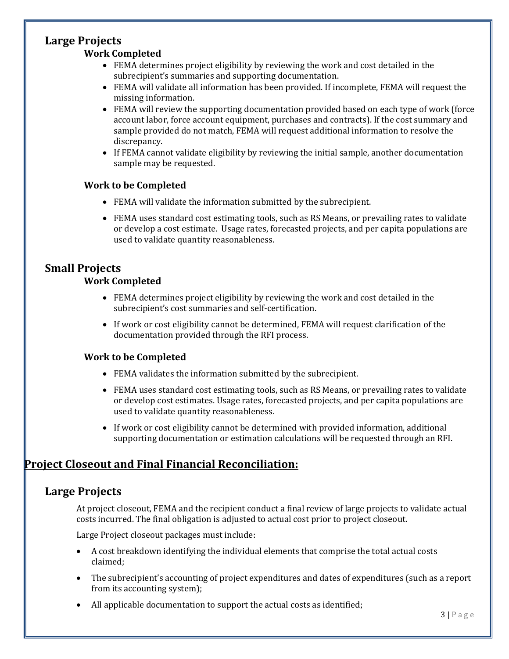### **Large Projects**

#### **Work Completed**

- FEMA determines project eligibility by reviewing the work and cost detailed in the subrecipient's summaries and supporting documentation.
- FEMA will validate all information has been provided. If incomplete, FEMA will request the missing information.
- FEMA will review the supporting documentation provided based on each type of work (force account labor, force account equipment, purchases and contracts). If the cost summary and sample provided do not match, FEMA will request additional information to resolve the discrepancy.
- If FEMA cannot validate eligibility by reviewing the initial sample, another documentation sample may be requested.

#### **Work to be Completed**

- FEMA will validate the information submitted by the subrecipient.
- FEMA uses standard cost estimating tools, such as RS Means, or prevailing rates to validate or develop a cost estimate. Usage rates, forecasted projects, and per capita populations are used to validate quantity reasonableness.

#### **Small Projects**

#### **Work Completed**

- FEMA determines project eligibility by reviewing the work and cost detailed in the subrecipient's cost summaries and self-certification.
- If work or cost eligibility cannot be determined, FEMA will request clarification of the documentation provided through the RFI process.

#### **Work to be Completed**

- FEMA validates the information submitted by the subrecipient.
- FEMA uses standard cost estimating tools, such as RS Means, or prevailing rates to validate or develop cost estimates. Usage rates, forecasted projects, and per capita populations are used to validate quantity reasonableness.
- If work or cost eligibility cannot be determined with provided information, additional supporting documentation or estimation calculations will be requested through an RFI.

#### **Project Closeout and Final Financial Reconciliation:**

#### **Large Projects**

 costs incurred. The final obligation is adjusted to actual cost prior to project closeout. At project closeout, FEMA and the recipient conduct a final review of large projects to validate actual

Large Project closeout packages must include:

- A cost breakdown identifying the individual elements that comprise the total actual costs claimed;
- The subrecipient's accounting of project expenditures and dates of expenditures (such as a report from its accounting system);
- All applicable documentation to support the actual costs as identified;